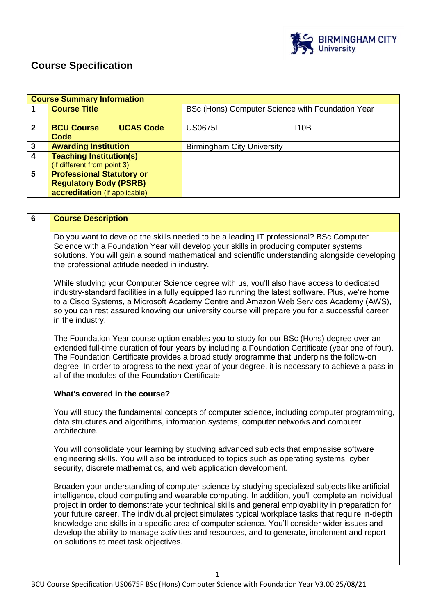

# **Course Specification**

|                                       | <b>Course Summary Information</b>             |  |                                                  |      |
|---------------------------------------|-----------------------------------------------|--|--------------------------------------------------|------|
|                                       | <b>Course Title</b>                           |  | BSc (Hons) Computer Science with Foundation Year |      |
| $\mathbf{2}$                          | <b>UCAS Code</b><br><b>BCU Course</b><br>Code |  | <b>US0675F</b>                                   | 110B |
| 3                                     | <b>Awarding Institution</b>                   |  | <b>Birmingham City University</b>                |      |
| 4                                     | <b>Teaching Institution(s)</b>                |  |                                                  |      |
|                                       | (if different from point 3)                   |  |                                                  |      |
| <b>Professional Statutory or</b><br>5 |                                               |  |                                                  |      |
| <b>Regulatory Body (PSRB)</b>         |                                               |  |                                                  |      |
|                                       | accreditation (if applicable)                 |  |                                                  |      |

| $6\phantom{1}$ | <b>Course Description</b>                                                                                                                                                                                                                                                                                                                                                                                                                                                                                                                                                                                                                                  |
|----------------|------------------------------------------------------------------------------------------------------------------------------------------------------------------------------------------------------------------------------------------------------------------------------------------------------------------------------------------------------------------------------------------------------------------------------------------------------------------------------------------------------------------------------------------------------------------------------------------------------------------------------------------------------------|
|                | Do you want to develop the skills needed to be a leading IT professional? BSc Computer<br>Science with a Foundation Year will develop your skills in producing computer systems<br>solutions. You will gain a sound mathematical and scientific understanding alongside developing<br>the professional attitude needed in industry.                                                                                                                                                                                                                                                                                                                        |
|                | While studying your Computer Science degree with us, you'll also have access to dedicated<br>industry-standard facilities in a fully equipped lab running the latest software. Plus, we're home<br>to a Cisco Systems, a Microsoft Academy Centre and Amazon Web Services Academy (AWS),<br>so you can rest assured knowing our university course will prepare you for a successful career<br>in the industry.                                                                                                                                                                                                                                             |
|                | The Foundation Year course option enables you to study for our BSc (Hons) degree over an<br>extended full-time duration of four years by including a Foundation Certificate (year one of four).<br>The Foundation Certificate provides a broad study programme that underpins the follow-on<br>degree. In order to progress to the next year of your degree, it is necessary to achieve a pass in<br>all of the modules of the Foundation Certificate.                                                                                                                                                                                                     |
|                | What's covered in the course?                                                                                                                                                                                                                                                                                                                                                                                                                                                                                                                                                                                                                              |
|                | You will study the fundamental concepts of computer science, including computer programming,<br>data structures and algorithms, information systems, computer networks and computer<br>architecture.                                                                                                                                                                                                                                                                                                                                                                                                                                                       |
|                | You will consolidate your learning by studying advanced subjects that emphasise software<br>engineering skills. You will also be introduced to topics such as operating systems, cyber<br>security, discrete mathematics, and web application development.                                                                                                                                                                                                                                                                                                                                                                                                 |
|                | Broaden your understanding of computer science by studying specialised subjects like artificial<br>intelligence, cloud computing and wearable computing. In addition, you'll complete an individual<br>project in order to demonstrate your technical skills and general employability in preparation for<br>your future career. The individual project simulates typical workplace tasks that require in-depth<br>knowledge and skills in a specific area of computer science. You'll consider wider issues and<br>develop the ability to manage activities and resources, and to generate, implement and report<br>on solutions to meet task objectives. |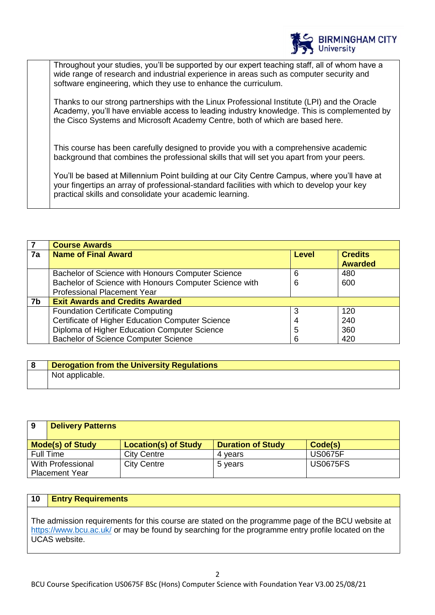

Throughout your studies, you'll be supported by our expert teaching staff, all of whom have a wide range of research and industrial experience in areas such as computer security and software engineering, which they use to enhance the curriculum.

Thanks to our strong partnerships with the Linux Professional Institute (LPI) and the Oracle Academy, you'll have enviable access to leading industry knowledge. This is complemented by the Cisco Systems and Microsoft Academy Centre, both of which are based here.

This course has been carefully designed to provide you with a comprehensive academic background that combines the professional skills that will set you apart from your peers.

You'll be based at Millennium Point building at our City Centre Campus, where you'll have at your fingertips an array of professional-standard facilities with which to develop your key practical skills and consolidate your academic learning.

|    | <b>Course Awards</b>                                   |              |                                  |
|----|--------------------------------------------------------|--------------|----------------------------------|
| 7a | <b>Name of Final Award</b>                             | <b>Level</b> | <b>Credits</b><br><b>Awarded</b> |
|    | Bachelor of Science with Honours Computer Science      | 6            | 480                              |
|    | Bachelor of Science with Honours Computer Science with | 6            | 600                              |
|    | <b>Professional Placement Year</b>                     |              |                                  |
| 7b | <b>Exit Awards and Credits Awarded</b>                 |              |                                  |
|    | <b>Foundation Certificate Computing</b>                | 3            | 120                              |
|    | Certificate of Higher Education Computer Science       |              | 240                              |
|    | Diploma of Higher Education Computer Science           | 5            | 360                              |
|    | <b>Bachelor of Science Computer Science</b>            | 6            | 420                              |

| <b>Derogation from the University Regulations</b> |
|---------------------------------------------------|
| Not applicable.                                   |

| 9                     | <b>Delivery Patterns</b> |                             |                          |                 |
|-----------------------|--------------------------|-----------------------------|--------------------------|-----------------|
|                       | <b>Mode(s) of Study</b>  | <b>Location(s) of Study</b> | <b>Duration of Study</b> | Code(s)         |
| Full Time             |                          | <b>City Centre</b>          | 4 vears                  | <b>US0675F</b>  |
| With Professional     |                          | <b>City Centre</b>          | 5 years                  | <b>US0675FS</b> |
| <b>Placement Year</b> |                          |                             |                          |                 |

## **10 Entry Requirements**

The admission requirements for this course are stated on the programme page of the BCU website at <https://www.bcu.ac.uk/> or may be found by searching for the programme entry profile located on the UCAS website.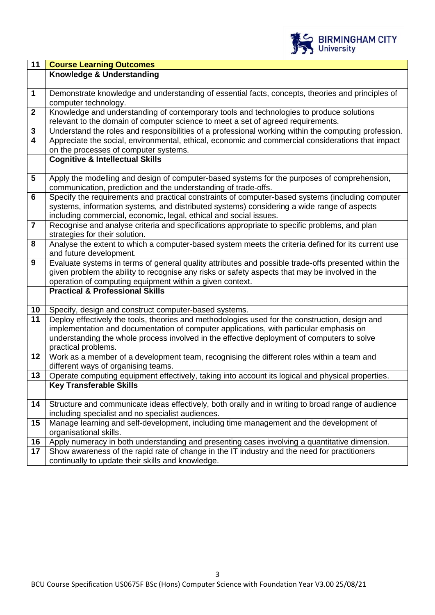

| $\overline{11}$         | <b>Course Learning Outcomes</b>                                                                                                                                    |
|-------------------------|--------------------------------------------------------------------------------------------------------------------------------------------------------------------|
|                         | Knowledge & Understanding                                                                                                                                          |
|                         |                                                                                                                                                                    |
| $\mathbf{1}$            | Demonstrate knowledge and understanding of essential facts, concepts, theories and principles of                                                                   |
|                         | computer technology.                                                                                                                                               |
| $\mathbf{2}$            | Knowledge and understanding of contemporary tools and technologies to produce solutions                                                                            |
|                         | relevant to the domain of computer science to meet a set of agreed requirements.                                                                                   |
| $\mathbf{3}$            | Understand the roles and responsibilities of a professional working within the computing profession.                                                               |
| $\overline{\mathbf{4}}$ | Appreciate the social, environmental, ethical, economic and commercial considerations that impact                                                                  |
|                         | on the processes of computer systems.                                                                                                                              |
|                         | <b>Cognitive &amp; Intellectual Skills</b>                                                                                                                         |
|                         |                                                                                                                                                                    |
| $\overline{\mathbf{5}}$ | Apply the modelling and design of computer-based systems for the purposes of comprehension,                                                                        |
| 6                       | communication, prediction and the understanding of trade-offs.<br>Specify the requirements and practical constraints of computer-based systems (including computer |
|                         | systems, information systems, and distributed systems) considering a wide range of aspects                                                                         |
|                         | including commercial, economic, legal, ethical and social issues.                                                                                                  |
| $\overline{7}$          | Recognise and analyse criteria and specifications appropriate to specific problems, and plan                                                                       |
|                         | strategies for their solution.                                                                                                                                     |
| 8                       | Analyse the extent to which a computer-based system meets the criteria defined for its current use                                                                 |
|                         | and future development.                                                                                                                                            |
| $\mathbf{9}$            | Evaluate systems in terms of general quality attributes and possible trade-offs presented within the                                                               |
|                         | given problem the ability to recognise any risks or safety aspects that may be involved in the                                                                     |
|                         | operation of computing equipment within a given context.                                                                                                           |
|                         | <b>Practical &amp; Professional Skills</b>                                                                                                                         |
|                         |                                                                                                                                                                    |
| 10                      | Specify, design and construct computer-based systems.                                                                                                              |
| 11                      | Deploy effectively the tools, theories and methodologies used for the construction, design and                                                                     |
|                         | implementation and documentation of computer applications, with particular emphasis on                                                                             |
|                         | understanding the whole process involved in the effective deployment of computers to solve                                                                         |
|                         | practical problems.                                                                                                                                                |
| 12                      | Work as a member of a development team, recognising the different roles within a team and                                                                          |
| 13                      | different ways of organising teams.<br>Operate computing equipment effectively, taking into account its logical and physical properties.                           |
|                         | <b>Key Transferable Skills</b>                                                                                                                                     |
|                         |                                                                                                                                                                    |
| 14                      | Structure and communicate ideas effectively, both orally and in writing to broad range of audience                                                                 |
|                         | including specialist and no specialist audiences.                                                                                                                  |
| 15                      | Manage learning and self-development, including time management and the development of                                                                             |
|                         | organisational skills.                                                                                                                                             |
| 16                      | Apply numeracy in both understanding and presenting cases involving a quantitative dimension.                                                                      |
| 17                      | Show awareness of the rapid rate of change in the IT industry and the need for practitioners                                                                       |
|                         | continually to update their skills and knowledge.                                                                                                                  |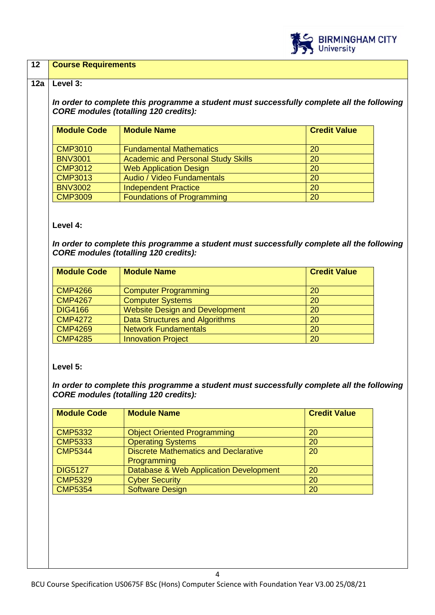

## **12 Course Requirements**

#### **12a Level 3:**

*In order to complete this programme a student must successfully complete all the following CORE modules (totalling 120 credits):*

| <b>Module Code</b>      | <b>Module Name</b>                        | <b>Credit Value</b> |
|-------------------------|-------------------------------------------|---------------------|
| $\sim$ CMP3010          | <b>Fundamental Mathematics</b>            | 20                  |
| <b>BNV3001</b>          | <b>Academic and Personal Study Skills</b> | 20                  |
| <b>CMP3012</b>          | <b>Web Application Design</b>             | 20                  |
| $\sqrt{\text{CMP}}3013$ | Audio / Video Fundamentals                | 20                  |
| <b>BNV3002</b>          | <b>Independent Practice</b>               | 20                  |
| <b>CMP3009</b>          | <b>Foundations of Programming</b>         | 20                  |

#### **Level 4:**

*In order to complete this programme a student must successfully complete all the following CORE modules (totalling 120 credits):*

| <b>Module Code</b> | <b>Module Name</b>                    | <b>Credit Value</b> |
|--------------------|---------------------------------------|---------------------|
| <b>CMP4266</b>     | <b>Computer Programming</b>           | <b>20</b>           |
| <b>CMP4267</b>     | <b>Computer Systems</b>               | <b>20</b>           |
| <b>DIG4166</b>     | <b>Website Design and Development</b> | 20                  |
| <b>CMP4272</b>     | Data Structures and Algorithms        | <b>20</b>           |
| <b>CMP4269</b>     | <b>Network Fundamentals</b>           | 20                  |
| <b>CMP4285</b>     | <b>Innovation Project</b>             | 20                  |

# **Level 5:**

*In order to complete this programme a student must successfully complete all the following CORE modules (totalling 120 credits):*

| <b>Module Code</b> | <b>Module Name</b>                          | <b>Credit Value</b> |
|--------------------|---------------------------------------------|---------------------|
| <b>CMP5332</b>     | <b>Object Oriented Programming</b>          | 20                  |
| <b>CMP5333</b>     | <b>Operating Systems</b>                    | 20                  |
| <b>CMP5344</b>     | <b>Discrete Mathematics and Declarative</b> | 20                  |
|                    | Programming                                 |                     |
| <b>DIG5127</b>     | Database & Web Application Development      | 20                  |
| <b>CMP5329</b>     | <b>Cyber Security</b>                       | 20                  |
| <b>CMP5354</b>     | <b>Software Design</b>                      | 20                  |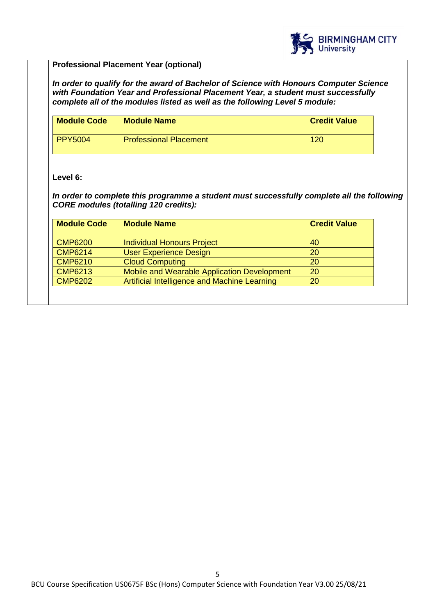

# **Professional Placement Year (optional)**

*In order to qualify for the award of Bachelor of Science with Honours Computer Science with Foundation Year and Professional Placement Year, a student must successfully complete all of the modules listed as well as the following Level 5 module:*

| <b>Module Code</b> | <b>Module Name</b>            | <b>Credit Value</b> |
|--------------------|-------------------------------|---------------------|
| <b>PPY5004</b>     | <b>Professional Placement</b> | 120                 |

## **Level 6:**

*In order to complete this programme a student must successfully complete all the following CORE modules (totalling 120 credits):*

| <b>Module Code</b> | <b>Module Name</b>                           | <b>Credit Value</b> |
|--------------------|----------------------------------------------|---------------------|
| <b>CMP6200</b>     | <b>Individual Honours Project</b>            | 40                  |
| <b>CMP6214</b>     | <b>User Experience Design</b>                | 20                  |
| <b>CMP6210</b>     | <b>Cloud Computing</b>                       | 20                  |
| <b>CMP6213</b>     | Mobile and Wearable Application Development  | 20                  |
| <b>CMP6202</b>     | Artificial Intelligence and Machine Learning | 20                  |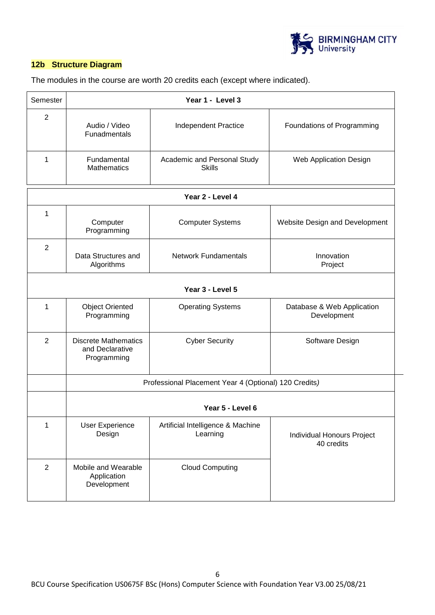

# **12b Structure Diagram**

The modules in the course are worth 20 credits each (except where indicated).

| Semester         |                                                               | Year 1 - Level 3                                      |                                           |  |
|------------------|---------------------------------------------------------------|-------------------------------------------------------|-------------------------------------------|--|
| $\overline{2}$   | Audio / Video<br>Funadmentals                                 | Independent Practice                                  | Foundations of Programming                |  |
| 1                | Fundamental<br><b>Mathematics</b>                             | Academic and Personal Study<br><b>Skills</b>          | Web Application Design                    |  |
|                  |                                                               | Year 2 - Level 4                                      |                                           |  |
| 1                | Computer<br>Programming                                       | <b>Computer Systems</b>                               | Website Design and Development            |  |
| $\overline{2}$   | Data Structures and<br>Algorithms                             | <b>Network Fundamentals</b>                           | Innovation<br>Project                     |  |
| Year 3 - Level 5 |                                                               |                                                       |                                           |  |
| 1                | <b>Object Oriented</b><br>Programming                         | <b>Operating Systems</b>                              | Database & Web Application<br>Development |  |
| $\overline{2}$   | <b>Discrete Mathematics</b><br>and Declarative<br>Programming | <b>Cyber Security</b>                                 | Software Design                           |  |
|                  |                                                               | Professional Placement Year 4 (Optional) 120 Credits) |                                           |  |
|                  | Year 5 - Level 6                                              |                                                       |                                           |  |
| 1                | <b>User Experience</b><br>Design                              | Artificial Intelligence & Machine<br>Learning         | Individual Honours Project<br>40 credits  |  |
| $\overline{2}$   | Mobile and Wearable<br>Application<br>Development             | <b>Cloud Computing</b>                                |                                           |  |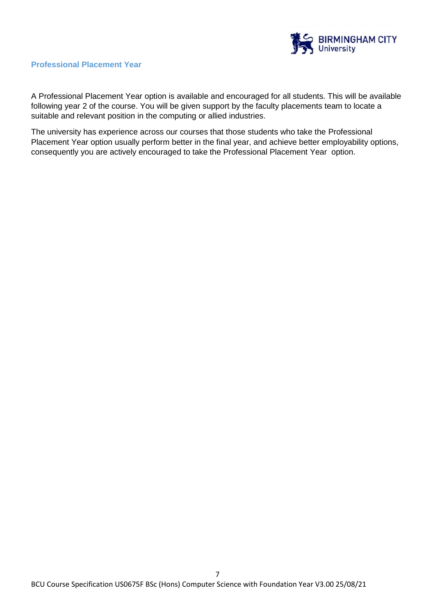

# **Professional Placement Year**

A Professional Placement Year option is available and encouraged for all students. This will be available following year 2 of the course. You will be given support by the faculty placements team to locate a suitable and relevant position in the computing or allied industries.

The university has experience across our courses that those students who take the Professional Placement Year option usually perform better in the final year, and achieve better employability options, consequently you are actively encouraged to take the Professional Placement Year option.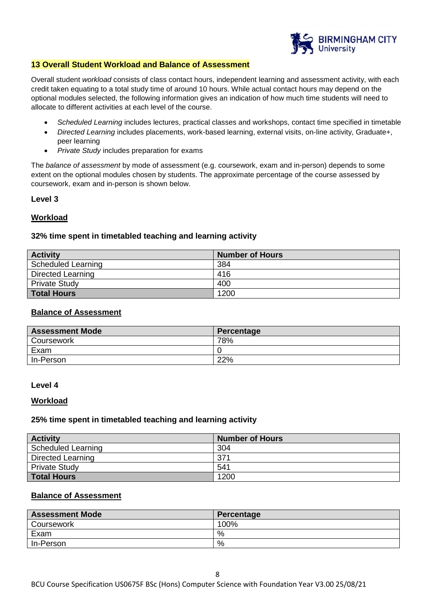

#### **13 Overall Student Workload and Balance of Assessment**

Overall student *workload* consists of class contact hours, independent learning and assessment activity, with each credit taken equating to a total study time of around 10 hours. While actual contact hours may depend on the optional modules selected, the following information gives an indication of how much time students will need to allocate to different activities at each level of the course.

- *Scheduled Learning* includes lectures, practical classes and workshops, contact time specified in timetable
- *Directed Learning* includes placements, work-based learning, external visits, on-line activity, Graduate+, peer learning
- *Private Study* includes preparation for exams

The *balance of assessment* by mode of assessment (e.g. coursework, exam and in-person) depends to some extent on the optional modules chosen by students. The approximate percentage of the course assessed by coursework, exam and in-person is shown below.

# **Level 3**

# **Workload**

# **32% time spent in timetabled teaching and learning activity**

| <b>Activity</b>           | <b>Number of Hours</b> |
|---------------------------|------------------------|
| <b>Scheduled Learning</b> | 384                    |
| <b>Directed Learning</b>  | 416                    |
| <b>Private Study</b>      | 400                    |
| <b>Total Hours</b>        | 1200                   |

# **Balance of Assessment**

| <b>Assessment Mode</b> | Percentage |
|------------------------|------------|
| Coursework             | 78%        |
| Exam                   |            |
| In-Person              | 22%        |

#### **Level 4**

#### **Workload**

#### **25% time spent in timetabled teaching and learning activity**

| <b>Activity</b>           | <b>Number of Hours</b> |
|---------------------------|------------------------|
| <b>Scheduled Learning</b> | 304                    |
| Directed Learning         | 371                    |
| <b>Private Study</b>      | 541                    |
| <b>Total Hours</b>        | 1200                   |

## **Balance of Assessment**

| <b>Assessment Mode</b> | Percentage |
|------------------------|------------|
| Coursework             | 100%       |
| Exam                   | %          |
| In-Person              | %          |